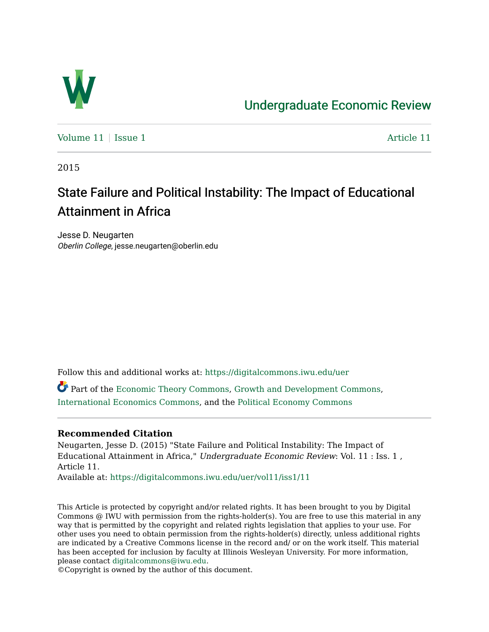

# [Undergraduate Economic Review](https://digitalcommons.iwu.edu/uer)

Volume  $11$  [Issue 1](https://digitalcommons.iwu.edu/uer/vol11/iss1)  $\blacksquare$ 

2015

# State Failure and Political Instability: The Impact of Educational Attainment in Africa

Jesse D. Neugarten Oberlin College, jesse.neugarten@oberlin.edu

Follow this and additional works at: [https://digitalcommons.iwu.edu/uer](https://digitalcommons.iwu.edu/uer?utm_source=digitalcommons.iwu.edu%2Fuer%2Fvol11%2Fiss1%2F11&utm_medium=PDF&utm_campaign=PDFCoverPages)

Part of the [Economic Theory Commons](http://network.bepress.com/hgg/discipline/344?utm_source=digitalcommons.iwu.edu%2Fuer%2Fvol11%2Fiss1%2F11&utm_medium=PDF&utm_campaign=PDFCoverPages), [Growth and Development Commons,](http://network.bepress.com/hgg/discipline/346?utm_source=digitalcommons.iwu.edu%2Fuer%2Fvol11%2Fiss1%2F11&utm_medium=PDF&utm_campaign=PDFCoverPages) [International Economics Commons,](http://network.bepress.com/hgg/discipline/348?utm_source=digitalcommons.iwu.edu%2Fuer%2Fvol11%2Fiss1%2F11&utm_medium=PDF&utm_campaign=PDFCoverPages) and the [Political Economy Commons](http://network.bepress.com/hgg/discipline/352?utm_source=digitalcommons.iwu.edu%2Fuer%2Fvol11%2Fiss1%2F11&utm_medium=PDF&utm_campaign=PDFCoverPages)

#### **Recommended Citation**

Neugarten, Jesse D. (2015) "State Failure and Political Instability: The Impact of Educational Attainment in Africa," Undergraduate Economic Review: Vol. 11 : Iss. 1 , Article 11.

Available at: [https://digitalcommons.iwu.edu/uer/vol11/iss1/11](https://digitalcommons.iwu.edu/uer/vol11/iss1/11?utm_source=digitalcommons.iwu.edu%2Fuer%2Fvol11%2Fiss1%2F11&utm_medium=PDF&utm_campaign=PDFCoverPages) 

This Article is protected by copyright and/or related rights. It has been brought to you by Digital Commons @ IWU with permission from the rights-holder(s). You are free to use this material in any way that is permitted by the copyright and related rights legislation that applies to your use. For other uses you need to obtain permission from the rights-holder(s) directly, unless additional rights are indicated by a Creative Commons license in the record and/ or on the work itself. This material has been accepted for inclusion by faculty at Illinois Wesleyan University. For more information, please contact [digitalcommons@iwu.edu.](mailto:digitalcommons@iwu.edu)

©Copyright is owned by the author of this document.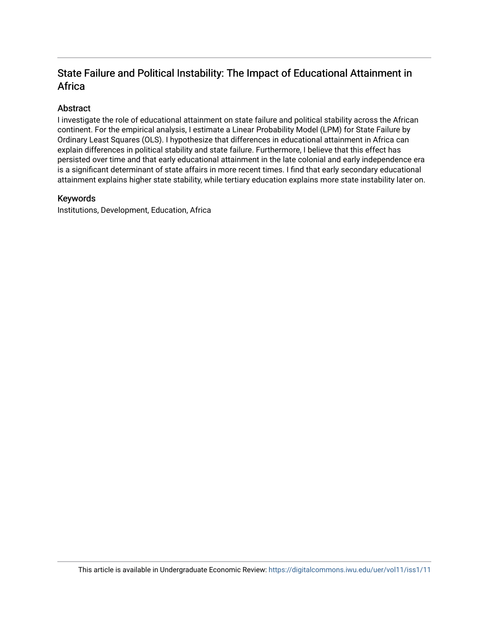## State Failure and Political Instability: The Impact of Educational Attainment in Africa

### Abstract

I investigate the role of educational attainment on state failure and political stability across the African continent. For the empirical analysis, I estimate a Linear Probability Model (LPM) for State Failure by Ordinary Least Squares (OLS). I hypothesize that differences in educational attainment in Africa can explain differences in political stability and state failure. Furthermore, I believe that this effect has persisted over time and that early educational attainment in the late colonial and early independence era is a significant determinant of state affairs in more recent times. I find that early secondary educational attainment explains higher state stability, while tertiary education explains more state instability later on.

#### Keywords

Institutions, Development, Education, Africa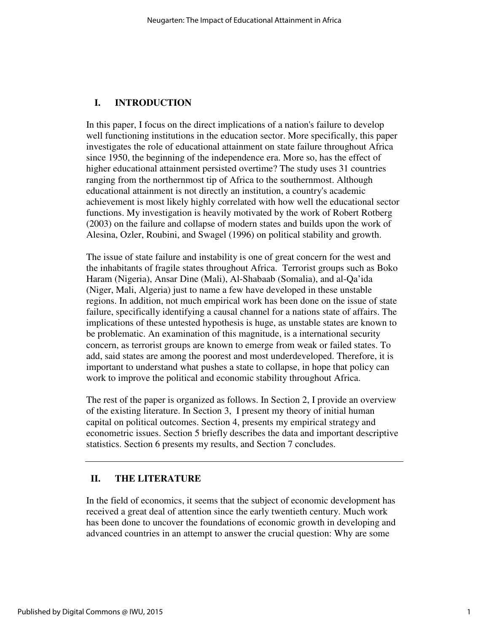## **I. INTRODUCTION**

In this paper, I focus on the direct implications of a nation's failure to develop well functioning institutions in the education sector. More specifically, this paper investigates the role of educational attainment on state failure throughout Africa since 1950, the beginning of the independence era. More so, has the effect of higher educational attainment persisted overtime? The study uses 31 countries ranging from the northernmost tip of Africa to the southernmost. Although educational attainment is not directly an institution, a country's academic achievement is most likely highly correlated with how well the educational sector functions. My investigation is heavily motivated by the work of Robert Rotberg (2003) on the failure and collapse of modern states and builds upon the work of Alesina, Ozler, Roubini, and Swagel (1996) on political stability and growth.

The issue of state failure and instability is one of great concern for the west and the inhabitants of fragile states throughout Africa. Terrorist groups such as Boko Haram (Nigeria), Ansar Dine (Mali), Al-Shabaab (Somalia), and al-Qa'ida (Niger, Mali, Algeria) just to name a few have developed in these unstable regions. In addition, not much empirical work has been done on the issue of state failure, specifically identifying a causal channel for a nations state of affairs. The implications of these untested hypothesis is huge, as unstable states are known to be problematic. An examination of this magnitude, is a international security concern, as terrorist groups are known to emerge from weak or failed states. To add, said states are among the poorest and most underdeveloped. Therefore, it is important to understand what pushes a state to collapse, in hope that policy can work to improve the political and economic stability throughout Africa.

The rest of the paper is organized as follows. In Section 2, I provide an overview of the existing literature. In Section 3, I present my theory of initial human capital on political outcomes. Section 4, presents my empirical strategy and econometric issues. Section 5 briefly describes the data and important descriptive statistics. Section 6 presents my results, and Section 7 concludes.

## **II. THE LITERATURE**

In the field of economics, it seems that the subject of economic development has received a great deal of attention since the early twentieth century. Much work has been done to uncover the foundations of economic growth in developing and advanced countries in an attempt to answer the crucial question: Why are some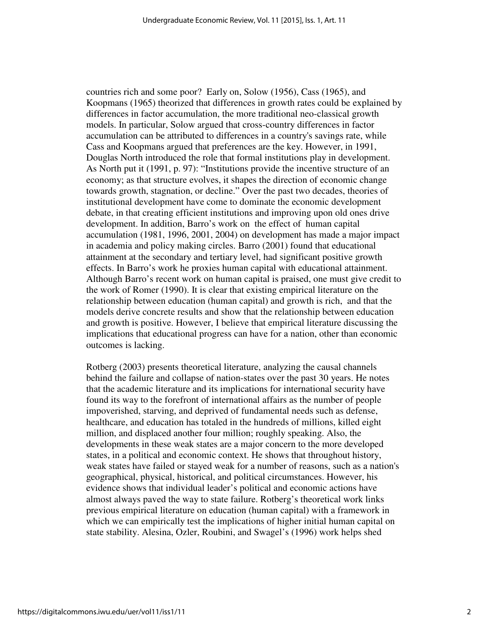countries rich and some poor? Early on, Solow (1956), Cass (1965), and Koopmans (1965) theorized that differences in growth rates could be explained by differences in factor accumulation, the more traditional neo-classical growth models. In particular, Solow argued that cross-country differences in factor accumulation can be attributed to differences in a country's savings rate, while Cass and Koopmans argued that preferences are the key. However, in 1991, Douglas North introduced the role that formal institutions play in development. As North put it (1991, p. 97): "Institutions provide the incentive structure of an economy; as that structure evolves, it shapes the direction of economic change towards growth, stagnation, or decline." Over the past two decades, theories of institutional development have come to dominate the economic development debate, in that creating efficient institutions and improving upon old ones drive development. In addition, Barro's work on the effect of human capital accumulation (1981, 1996, 2001, 2004) on development has made a major impact in academia and policy making circles. Barro (2001) found that educational attainment at the secondary and tertiary level, had significant positive growth effects. In Barro's work he proxies human capital with educational attainment. Although Barro's recent work on human capital is praised, one must give credit to the work of Romer (1990). It is clear that existing empirical literature on the relationship between education (human capital) and growth is rich, and that the models derive concrete results and show that the relationship between education and growth is positive. However, I believe that empirical literature discussing the implications that educational progress can have for a nation, other than economic outcomes is lacking.

Rotberg (2003) presents theoretical literature, analyzing the causal channels behind the failure and collapse of nation-states over the past 30 years. He notes that the academic literature and its implications for international security have found its way to the forefront of international affairs as the number of people impoverished, starving, and deprived of fundamental needs such as defense, healthcare, and education has totaled in the hundreds of millions, killed eight million, and displaced another four million; roughly speaking. Also, the developments in these weak states are a major concern to the more developed states, in a political and economic context. He shows that throughout history, weak states have failed or stayed weak for a number of reasons, such as a nation's geographical, physical, historical, and political circumstances. However, his evidence shows that individual leader's political and economic actions have almost always paved the way to state failure. Rotberg's theoretical work links previous empirical literature on education (human capital) with a framework in which we can empirically test the implications of higher initial human capital on state stability. Alesina, Ozler, Roubini, and Swagel's (1996) work helps shed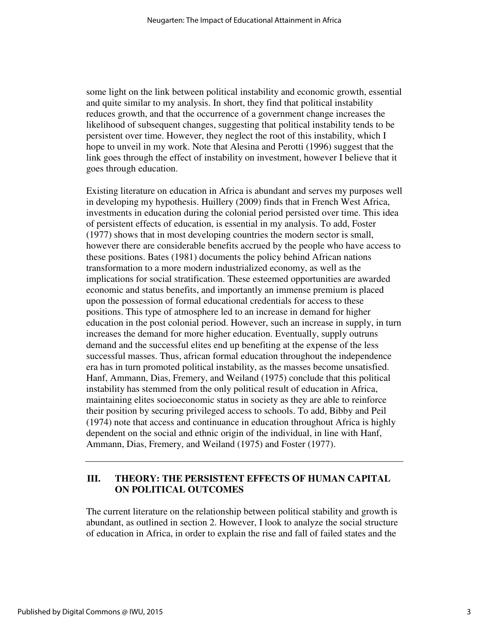some light on the link between political instability and economic growth, essential and quite similar to my analysis. In short, they find that political instability reduces growth, and that the occurrence of a government change increases the likelihood of subsequent changes, suggesting that political instability tends to be persistent over time. However, they neglect the root of this instability, which I hope to unveil in my work. Note that Alesina and Perotti (1996) suggest that the link goes through the effect of instability on investment, however I believe that it goes through education.

Existing literature on education in Africa is abundant and serves my purposes well in developing my hypothesis. Huillery (2009) finds that in French West Africa, investments in education during the colonial period persisted over time. This idea of persistent effects of education, is essential in my analysis. To add, Foster (1977) shows that in most developing countries the modern sector is small, however there are considerable benefits accrued by the people who have access to these positions. Bates (1981) documents the policy behind African nations transformation to a more modern industrialized economy, as well as the implications for social stratification. These esteemed opportunities are awarded economic and status benefits, and importantly an immense premium is placed upon the possession of formal educational credentials for access to these positions. This type of atmosphere led to an increase in demand for higher education in the post colonial period. However, such an increase in supply, in turn increases the demand for more higher education. Eventually, supply outruns demand and the successful elites end up benefiting at the expense of the less successful masses. Thus, african formal education throughout the independence era has in turn promoted political instability, as the masses become unsatisfied. Hanf, Ammann, Dias, Fremery, and Weiland (1975) conclude that this political instability has stemmed from the only political result of education in Africa, maintaining elites socioeconomic status in society as they are able to reinforce their position by securing privileged access to schools. To add, Bibby and Peil (1974) note that access and continuance in education throughout Africa is highly dependent on the social and ethnic origin of the individual, in line with Hanf, Ammann, Dias, Fremery, and Weiland (1975) and Foster (1977).

## **III. THEORY: THE PERSISTENT EFFECTS OF HUMAN CAPITAL ON POLITICAL OUTCOMES**

The current literature on the relationship between political stability and growth is abundant, as outlined in section 2. However, I look to analyze the social structure of education in Africa, in order to explain the rise and fall of failed states and the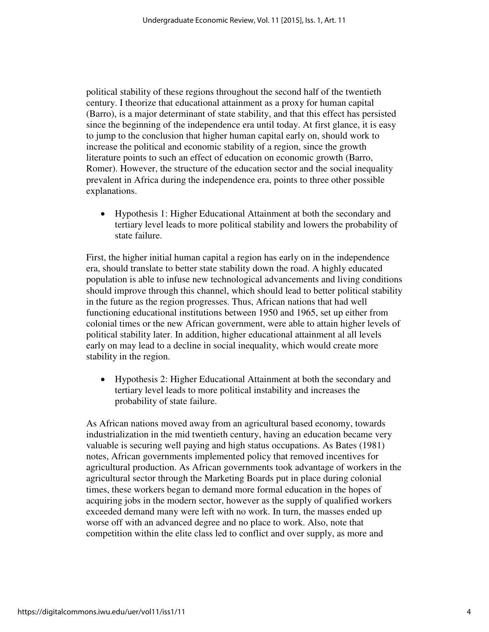political stability of these regions throughout the second half of the twentieth century. I theorize that educational attainment as a proxy for human capital (Barro), is a major determinant of state stability, and that this effect has persisted since the beginning of the independence era until today. At first glance, it is easy to jump to the conclusion that higher human capital early on, should work to increase the political and economic stability of a region, since the growth literature points to such an effect of education on economic growth (Barro, Romer). However, the structure of the education sector and the social inequality prevalent in Africa during the independence era, points to three other possible explanations.

• Hypothesis 1: Higher Educational Attainment at both the secondary and tertiary level leads to more political stability and lowers the probability of state failure.

First, the higher initial human capital a region has early on in the independence era, should translate to better state stability down the road. A highly educated population is able to infuse new technological advancements and living conditions should improve through this channel, which should lead to better political stability in the future as the region progresses. Thus, African nations that had well functioning educational institutions between 1950 and 1965, set up either from colonial times or the new African government, were able to attain higher levels of political stability later. In addition, higher educational attainment al all levels early on may lead to a decline in social inequality, which would create more stability in the region.

• Hypothesis 2: Higher Educational Attainment at both the secondary and tertiary level leads to more political instability and increases the probability of state failure.

As African nations moved away from an agricultural based economy, towards industrialization in the mid twentieth century, having an education became very valuable is securing well paying and high status occupations. As Bates (1981) notes, African governments implemented policy that removed incentives for agricultural production. As African governments took advantage of workers in the agricultural sector through the Marketing Boards put in place during colonial times, these workers began to demand more formal education in the hopes of acquiring jobs in the modern sector, however as the supply of qualified workers exceeded demand many were left with no work. In turn, the masses ended up worse off with an advanced degree and no place to work. Also, note that competition within the elite class led to conflict and over supply, as more and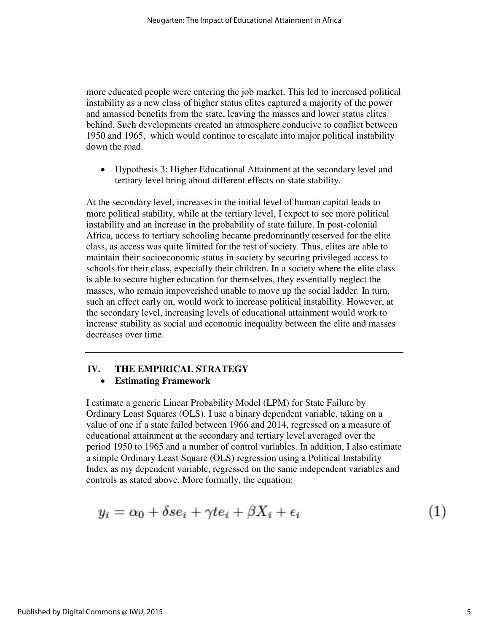more educated people were entering the job market. This led to increased political instability as a new class of higher status elites captured a majority of the power and amassed benefits from the state, leaving the masses and lower status elites behind. Such developments created an atmosphere conducive to conflict between 1950 and 1965, which would continue to escalate into major political instability down the road. the job market. This led to increased politi<br>atus elites captured a majority of the powe<br>leaving the masses and lower status elites atmosphere conducive to conflict between<br>to escalate into major political instability<br>and Attainment at the secondary level and aving the masses and lower status elites<br>atmosphere conducive to conflict between<br>to escalate into major political instability<br>nal Attainment at the secondary level and

• Hypothesis 3: Higher Educational Attainment at the secondary level and tertiary level bring about different effects on state stability.

At the secondary level, increases in the initial level of human capital leads to At the secondary level, increases in the initial level of human capital leads to more political stability, while at the tertiary level, I expect to see more political instability and an increase in the probability of state failure. In post-colonial Africa, access to tertiary schooling became predominantly reserved for the elite class, as access was quite limited for the rest of society. Thus, elites are able to maintain their socioeconomic status in society by securing privileged access to schools for their class, especially their children. In a society where the elite class is able to secure higher education for themselves, they essentially neglect the masses, who remain impoverished unable to move up the social ladder. In turn, such an effect early on, would work to increase political instability. However, at the secondary level, increasing levels of educational attainment would work to increase stability as social and economic inequality between the elite and masses decreases over time. access was quite limited for the rest of society. Thus, elites are able to<br>i their socioeconomic status in society by securing privileged access to<br>for their class, especially their children. In a society where the elite c olitical<br>colonial<br>for the elite<br>are able to<br>d access to<br>he elite class<br>reglect the<br>der. In turn,<br>However, at<br>ld work to<br>e and masses<br>manames and masses<br>were and masses<br>were the<br>manames of<br>the position of the<br>massure of<br>poe

## **IV. THE EMPIRICAL STRATEGY THE EMPIRICAL**

## • **Estimating Framework**

I estimate a generic Linear Probability Model (LPM) for State Failure by I estimate a generic Linear Probability Model (LPM) for State Failure by<br>Ordinary Least Squares (OLS). I use a binary dependent variable, taking on a value of one if a state failed between 1966 and 2014, regressed on a measure of value of one if a state failed between 1966 and 2014, regressed on a measure educational attainment at the secondary and tertiary level averaged over the period 1950 to 1965 and a number of control variables. In addition, I also estimate<br>a simple Ordinary Least Square (OLS) regression using a Political Instability<br>Index as my dependent variable, regressed on the same indepe a simple Ordinary Least Square (OLS) regression using a Political Instability Index as my dependent variable, regressed on the same independent variables and controls as stated above. More formally, the equation:

$$
y_i = \alpha_0 + \delta s e_i + \gamma t e_i + \beta X_i + \epsilon_i \tag{1}
$$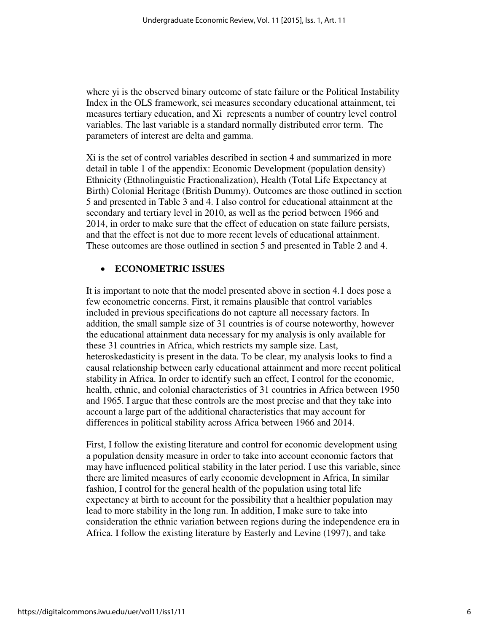where yi is the observed binary outcome of state failure or the Political Instability Index in the OLS framework, sei measures secondary educational attainment, tei measures tertiary education, and Xi represents a number of country level control variables. The last variable is a standard normally distributed error term. The parameters of interest are delta and gamma.

Xi is the set of control variables described in section 4 and summarized in more detail in table 1 of the appendix: Economic Development (population density) Ethnicity (Ethnolinguistic Fractionalization), Health (Total Life Expectancy at Birth) Colonial Heritage (British Dummy). Outcomes are those outlined in section 5 and presented in Table 3 and 4. I also control for educational attainment at the secondary and tertiary level in 2010, as well as the period between 1966 and 2014, in order to make sure that the effect of education on state failure persists, and that the effect is not due to more recent levels of educational attainment. These outcomes are those outlined in section 5 and presented in Table 2 and 4.

#### • **ECONOMETRIC ISSUES**

It is important to note that the model presented above in section 4.1 does pose a few econometric concerns. First, it remains plausible that control variables included in previous specifications do not capture all necessary factors. In addition, the small sample size of 31 countries is of course noteworthy, however the educational attainment data necessary for my analysis is only available for these 31 countries in Africa, which restricts my sample size. Last, heteroskedasticity is present in the data. To be clear, my analysis looks to find a causal relationship between early educational attainment and more recent political stability in Africa. In order to identify such an effect, I control for the economic, health, ethnic, and colonial characteristics of 31 countries in Africa between 1950 and 1965. I argue that these controls are the most precise and that they take into account a large part of the additional characteristics that may account for differences in political stability across Africa between 1966 and 2014.

First, I follow the existing literature and control for economic development using a population density measure in order to take into account economic factors that may have influenced political stability in the later period. I use this variable, since there are limited measures of early economic development in Africa, In similar fashion, I control for the general health of the population using total life expectancy at birth to account for the possibility that a healthier population may lead to more stability in the long run. In addition, I make sure to take into consideration the ethnic variation between regions during the independence era in Africa. I follow the existing literature by Easterly and Levine (1997), and take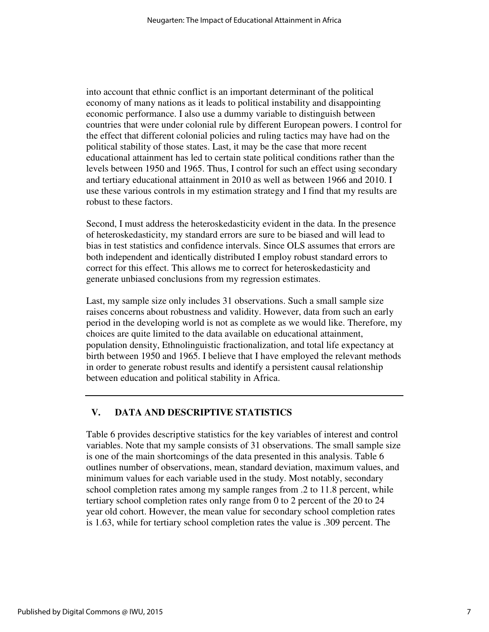into account that ethnic conflict is an important determinant of the political economy of many nations as it leads to political instability and disappointing economic performance. I also use a dummy variable to distinguish between countries that were under colonial rule by different European powers. I control for the effect that different colonial policies and ruling tactics may have had on the political stability of those states. Last, it may be the case that more recent educational attainment has led to certain state political conditions rather than the levels between 1950 and 1965. Thus, I control for such an effect using secondary and tertiary educational attainment in 2010 as well as between 1966 and 2010. I use these various controls in my estimation strategy and I find that my results are robust to these factors.

Second, I must address the heteroskedasticity evident in the data. In the presence of heteroskedasticity, my standard errors are sure to be biased and will lead to bias in test statistics and confidence intervals. Since OLS assumes that errors are both independent and identically distributed I employ robust standard errors to correct for this effect. This allows me to correct for heteroskedasticity and generate unbiased conclusions from my regression estimates.

Last, my sample size only includes 31 observations. Such a small sample size raises concerns about robustness and validity. However, data from such an early period in the developing world is not as complete as we would like. Therefore, my choices are quite limited to the data available on educational attainment, population density, Ethnolinguistic fractionalization, and total life expectancy at birth between 1950 and 1965. I believe that I have employed the relevant methods in order to generate robust results and identify a persistent causal relationship between education and political stability in Africa.

## **V. DATA AND DESCRIPTIVE STATISTICS**

Table 6 provides descriptive statistics for the key variables of interest and control variables. Note that my sample consists of 31 observations. The small sample size is one of the main shortcomings of the data presented in this analysis. Table 6 outlines number of observations, mean, standard deviation, maximum values, and minimum values for each variable used in the study. Most notably, secondary school completion rates among my sample ranges from .2 to 11.8 percent, while tertiary school completion rates only range from 0 to 2 percent of the 20 to 24 year old cohort. However, the mean value for secondary school completion rates is 1.63, while for tertiary school completion rates the value is .309 percent. The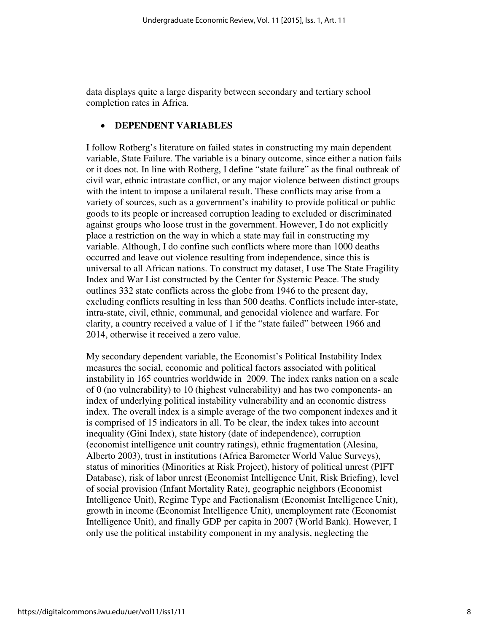data displays quite a large disparity between secondary and tertiary school completion rates in Africa.

#### • **DEPENDENT VARIABLES**

I follow Rotberg's literature on failed states in constructing my main dependent variable, State Failure. The variable is a binary outcome, since either a nation fails or it does not. In line with Rotberg, I define "state failure" as the final outbreak of civil war, ethnic intrastate conflict, or any major violence between distinct groups with the intent to impose a unilateral result. These conflicts may arise from a variety of sources, such as a government's inability to provide political or public goods to its people or increased corruption leading to excluded or discriminated against groups who loose trust in the government. However, I do not explicitly place a restriction on the way in which a state may fail in constructing my variable. Although, I do confine such conflicts where more than 1000 deaths occurred and leave out violence resulting from independence, since this is universal to all African nations. To construct my dataset, I use The State Fragility Index and War List constructed by the Center for Systemic Peace. The study outlines 332 state conflicts across the globe from 1946 to the present day, excluding conflicts resulting in less than 500 deaths. Conflicts include inter-state, intra-state, civil, ethnic, communal, and genocidal violence and warfare. For clarity, a country received a value of 1 if the "state failed" between 1966 and 2014, otherwise it received a zero value.

My secondary dependent variable, the Economist's Political Instability Index measures the social, economic and political factors associated with political instability in 165 countries worldwide in 2009. The index ranks nation on a scale of 0 (no vulnerability) to 10 (highest vulnerability) and has two components- an index of underlying political instability vulnerability and an economic distress index. The overall index is a simple average of the two component indexes and it is comprised of 15 indicators in all. To be clear, the index takes into account inequality (Gini Index), state history (date of independence), corruption (economist intelligence unit country ratings), ethnic fragmentation (Alesina, Alberto 2003), trust in institutions (Africa Barometer World Value Surveys), status of minorities (Minorities at Risk Project), history of political unrest (PIFT Database), risk of labor unrest (Economist Intelligence Unit, Risk Briefing), level of social provision (Infant Mortality Rate), geographic neighbors (Economist Intelligence Unit), Regime Type and Factionalism (Economist Intelligence Unit), growth in income (Economist Intelligence Unit), unemployment rate (Economist Intelligence Unit), and finally GDP per capita in 2007 (World Bank). However, I only use the political instability component in my analysis, neglecting the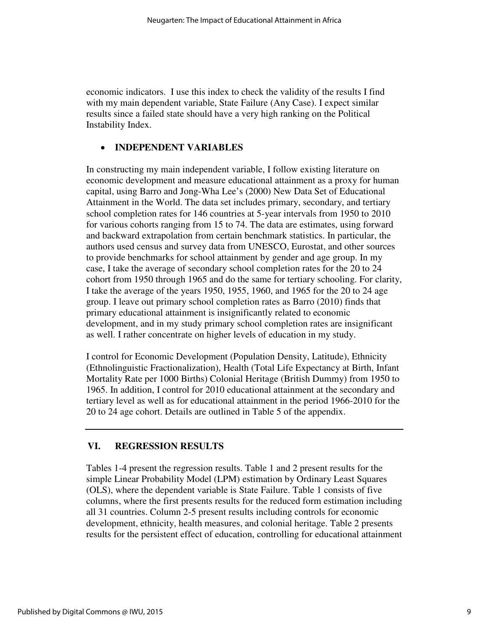economic indicators. I use this index to check the validity of the results I find with my main dependent variable, State Failure (Any Case). I expect similar results since a failed state should have a very high ranking on the Political Instability Index.

### • **INDEPENDENT VARIABLES**

In constructing my main independent variable, I follow existing literature on economic development and measure educational attainment as a proxy for human capital, using Barro and Jong-Wha Lee's (2000) New Data Set of Educational Attainment in the World. The data set includes primary, secondary, and tertiary school completion rates for 146 countries at 5-year intervals from 1950 to 2010 for various cohorts ranging from 15 to 74. The data are estimates, using forward and backward extrapolation from certain benchmark statistics. In particular, the authors used census and survey data from UNESCO, Eurostat, and other sources to provide benchmarks for school attainment by gender and age group. In my case, I take the average of secondary school completion rates for the 20 to 24 cohort from 1950 through 1965 and do the same for tertiary schooling. For clarity, I take the average of the years 1950, 1955, 1960, and 1965 for the 20 to 24 age group. I leave out primary school completion rates as Barro (2010) finds that primary educational attainment is insignificantly related to economic development, and in my study primary school completion rates are insignificant as well. I rather concentrate on higher levels of education in my study.

I control for Economic Development (Population Density, Latitude), Ethnicity (Ethnolinguistic Fractionalization), Health (Total Life Expectancy at Birth, Infant Mortality Rate per 1000 Births) Colonial Heritage (British Dummy) from 1950 to 1965. In addition, I control for 2010 educational attainment at the secondary and tertiary level as well as for educational attainment in the period 1966-2010 for the 20 to 24 age cohort. Details are outlined in Table 5 of the appendix.

## **VI. REGRESSION RESULTS**

Tables 1-4 present the regression results. Table 1 and 2 present results for the simple Linear Probability Model (LPM) estimation by Ordinary Least Squares (OLS), where the dependent variable is State Failure. Table 1 consists of five columns, where the first presents results for the reduced form estimation including all 31 countries. Column 2-5 present results including controls for economic development, ethnicity, health measures, and colonial heritage. Table 2 presents results for the persistent effect of education, controlling for educational attainment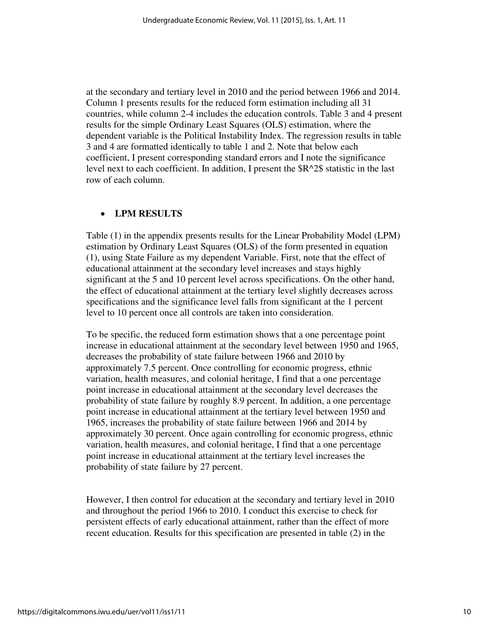at the secondary and tertiary level in 2010 and the period between 1966 and 2014. Column 1 presents results for the reduced form estimation including all 31 countries, while column 2-4 includes the education controls. Table 3 and 4 present results for the simple Ordinary Least Squares (OLS) estimation, where the dependent variable is the Political Instability Index. The regression results in table 3 and 4 are formatted identically to table 1 and 2. Note that below each coefficient, I present corresponding standard errors and I note the significance level next to each coefficient. In addition, I present the  $R^22\$  statistic in the last row of each column.

#### • **LPM RESULTS**

Table (1) in the appendix presents results for the Linear Probability Model (LPM) estimation by Ordinary Least Squares (OLS) of the form presented in equation (1), using State Failure as my dependent Variable. First, note that the effect of educational attainment at the secondary level increases and stays highly significant at the 5 and 10 percent level across specifications. On the other hand, the effect of educational attainment at the tertiary level slightly decreases across specifications and the significance level falls from significant at the 1 percent level to 10 percent once all controls are taken into consideration.

To be specific, the reduced form estimation shows that a one percentage point increase in educational attainment at the secondary level between 1950 and 1965, decreases the probability of state failure between 1966 and 2010 by approximately 7.5 percent. Once controlling for economic progress, ethnic variation, health measures, and colonial heritage, I find that a one percentage point increase in educational attainment at the secondary level decreases the probability of state failure by roughly 8.9 percent. In addition, a one percentage point increase in educational attainment at the tertiary level between 1950 and 1965, increases the probability of state failure between 1966 and 2014 by approximately 30 percent. Once again controlling for economic progress, ethnic variation, health measures, and colonial heritage, I find that a one percentage point increase in educational attainment at the tertiary level increases the probability of state failure by 27 percent.

However, I then control for education at the secondary and tertiary level in 2010 and throughout the period 1966 to 2010. I conduct this exercise to check for persistent effects of early educational attainment, rather than the effect of more recent education. Results for this specification are presented in table (2) in the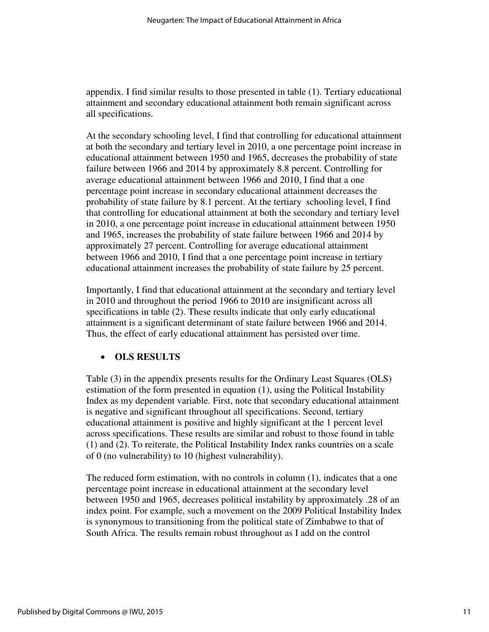appendix. I find similar results to those presented in table (1). Tertiary educational attainment and secondary educational attainment both remain significant across all specifications.

At the secondary schooling level, I find that controlling for educational attainment at both the secondary and tertiary level in 2010, a one percentage point increase in educational attainment between 1950 and 1965, decreases the probability of state failure between 1966 and 2014 by approximately 8.8 percent. Controlling for average educational attainment between 1966 and 2010, I find that a one percentage point increase in secondary educational attainment decreases the probability of state failure by 8.1 percent. At the tertiary schooling level, I find that controlling for educational attainment at both the secondary and tertiary level in 2010, a one percentage point increase in educational attainment between 1950 and 1965, increases the probability of state failure between 1966 and 2014 by approximately 27 percent. Controlling for average educational attainment between 1966 and 2010, I find that a one percentage point increase in tertiary educational attainment increases the probability of state failure by 25 percent.

Importantly, I find that educational attainment at the secondary and tertiary level in 2010 and throughout the period 1966 to 2010 are insignificant across all specifications in table (2). These results indicate that only early educational attainment is a significant determinant of state failure between 1966 and 2014. Thus, the effect of early educational attainment has persisted over time.

## • **OLS RESULTS**

Table (3) in the appendix presents results for the Ordinary Least Squares (OLS) estimation of the form presented in equation (1), using the Political Instability Index as my dependent variable. First, note that secondary educational attainment is negative and significant throughout all specifications. Second, tertiary educational attainment is positive and highly significant at the 1 percent level across specifications. These results are similar and robust to those found in table (1) and (2). To reiterate, the Political Instability Index ranks countries on a scale of 0 (no vulnerability) to 10 (highest vulnerability).

The reduced form estimation, with no controls in column (1), indicates that a one percentage point increase in educational attainment at the secondary level between 1950 and 1965, decreases political instability by approximately .28 of an index point. For example, such a movement on the 2009 Political Instability Index is synonymous to transitioning from the political state of Zimbabwe to that of South Africa. The results remain robust throughout as I add on the control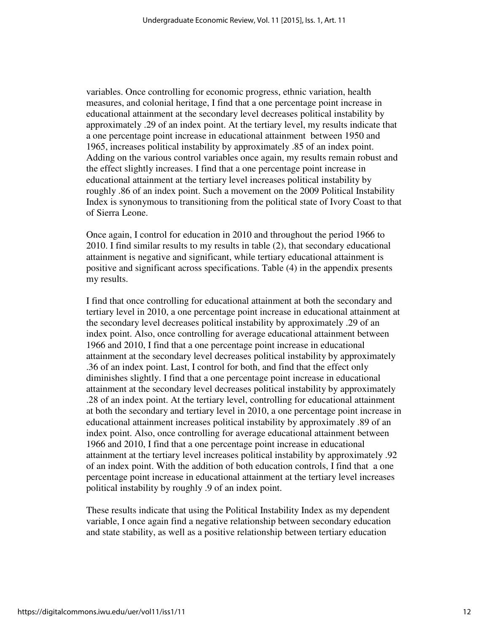variables. Once controlling for economic progress, ethnic variation, health measures, and colonial heritage, I find that a one percentage point increase in educational attainment at the secondary level decreases political instability by approximately .29 of an index point. At the tertiary level, my results indicate that a one percentage point increase in educational attainment between 1950 and 1965, increases political instability by approximately .85 of an index point. Adding on the various control variables once again, my results remain robust and the effect slightly increases. I find that a one percentage point increase in educational attainment at the tertiary level increases political instability by roughly .86 of an index point. Such a movement on the 2009 Political Instability Index is synonymous to transitioning from the political state of Ivory Coast to that of Sierra Leone.

Once again, I control for education in 2010 and throughout the period 1966 to 2010. I find similar results to my results in table (2), that secondary educational attainment is negative and significant, while tertiary educational attainment is positive and significant across specifications. Table (4) in the appendix presents my results.

I find that once controlling for educational attainment at both the secondary and tertiary level in 2010, a one percentage point increase in educational attainment at the secondary level decreases political instability by approximately .29 of an index point. Also, once controlling for average educational attainment between 1966 and 2010, I find that a one percentage point increase in educational attainment at the secondary level decreases political instability by approximately .36 of an index point. Last, I control for both, and find that the effect only diminishes slightly. I find that a one percentage point increase in educational attainment at the secondary level decreases political instability by approximately .28 of an index point. At the tertiary level, controlling for educational attainment at both the secondary and tertiary level in 2010, a one percentage point increase in educational attainment increases political instability by approximately .89 of an index point. Also, once controlling for average educational attainment between 1966 and 2010, I find that a one percentage point increase in educational attainment at the tertiary level increases political instability by approximately .92 of an index point. With the addition of both education controls, I find that a one percentage point increase in educational attainment at the tertiary level increases political instability by roughly .9 of an index point.

These results indicate that using the Political Instability Index as my dependent variable, I once again find a negative relationship between secondary education and state stability, as well as a positive relationship between tertiary education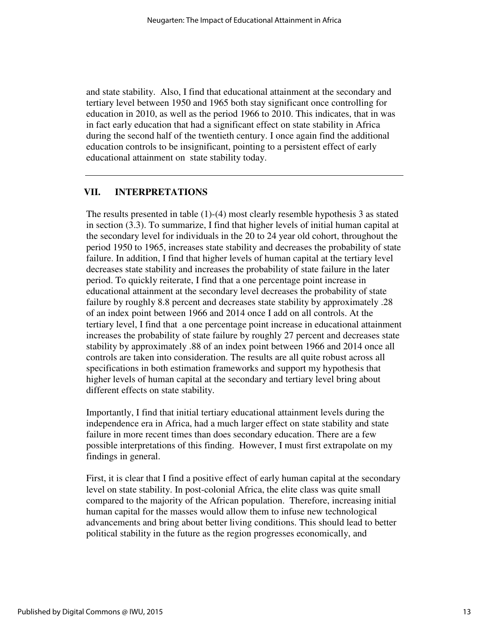and state stability. Also, I find that educational attainment at the secondary and tertiary level between 1950 and 1965 both stay significant once controlling for education in 2010, as well as the period 1966 to 2010. This indicates, that in was in fact early education that had a significant effect on state stability in Africa during the second half of the twentieth century. I once again find the additional education controls to be insignificant, pointing to a persistent effect of early educational attainment on state stability today.

#### **VII. INTERPRETATIONS**

The results presented in table (1)-(4) most clearly resemble hypothesis 3 as stated in section (3.3). To summarize, I find that higher levels of initial human capital at the secondary level for individuals in the 20 to 24 year old cohort, throughout the period 1950 to 1965, increases state stability and decreases the probability of state failure. In addition, I find that higher levels of human capital at the tertiary level decreases state stability and increases the probability of state failure in the later period. To quickly reiterate, I find that a one percentage point increase in educational attainment at the secondary level decreases the probability of state failure by roughly 8.8 percent and decreases state stability by approximately .28 of an index point between 1966 and 2014 once I add on all controls. At the tertiary level, I find that a one percentage point increase in educational attainment increases the probability of state failure by roughly 27 percent and decreases state stability by approximately .88 of an index point between 1966 and 2014 once all controls are taken into consideration. The results are all quite robust across all specifications in both estimation frameworks and support my hypothesis that higher levels of human capital at the secondary and tertiary level bring about different effects on state stability.

Importantly, I find that initial tertiary educational attainment levels during the independence era in Africa, had a much larger effect on state stability and state failure in more recent times than does secondary education. There are a few possible interpretations of this finding. However, I must first extrapolate on my findings in general.

First, it is clear that I find a positive effect of early human capital at the secondary level on state stability. In post-colonial Africa, the elite class was quite small compared to the majority of the African population. Therefore, increasing initial human capital for the masses would allow them to infuse new technological advancements and bring about better living conditions. This should lead to better political stability in the future as the region progresses economically, and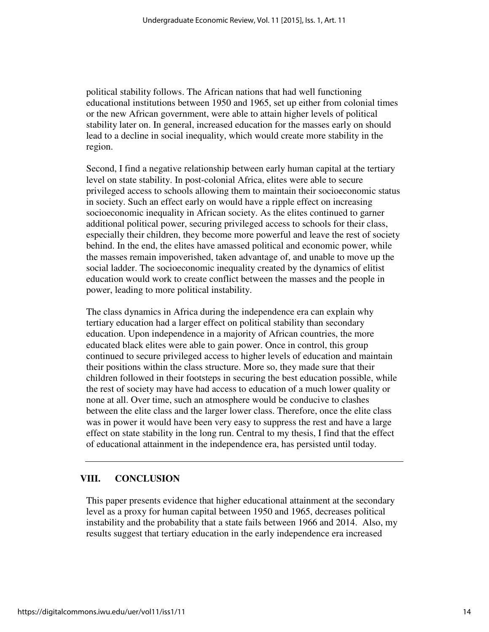political stability follows. The African nations that had well functioning educational institutions between 1950 and 1965, set up either from colonial times or the new African government, were able to attain higher levels of political stability later on. In general, increased education for the masses early on should lead to a decline in social inequality, which would create more stability in the region.

Second, I find a negative relationship between early human capital at the tertiary level on state stability. In post-colonial Africa, elites were able to secure privileged access to schools allowing them to maintain their socioeconomic status in society. Such an effect early on would have a ripple effect on increasing socioeconomic inequality in African society. As the elites continued to garner additional political power, securing privileged access to schools for their class, especially their children, they become more powerful and leave the rest of society behind. In the end, the elites have amassed political and economic power, while the masses remain impoverished, taken advantage of, and unable to move up the social ladder. The socioeconomic inequality created by the dynamics of elitist education would work to create conflict between the masses and the people in power, leading to more political instability.

The class dynamics in Africa during the independence era can explain why tertiary education had a larger effect on political stability than secondary education. Upon independence in a majority of African countries, the more educated black elites were able to gain power. Once in control, this group continued to secure privileged access to higher levels of education and maintain their positions within the class structure. More so, they made sure that their children followed in their footsteps in securing the best education possible, while the rest of society may have had access to education of a much lower quality or none at all. Over time, such an atmosphere would be conducive to clashes between the elite class and the larger lower class. Therefore, once the elite class was in power it would have been very easy to suppress the rest and have a large effect on state stability in the long run. Central to my thesis, I find that the effect of educational attainment in the independence era, has persisted until today.

#### **VIII. CONCLUSION**

This paper presents evidence that higher educational attainment at the secondary level as a proxy for human capital between 1950 and 1965, decreases political instability and the probability that a state fails between 1966 and 2014. Also, my results suggest that tertiary education in the early independence era increased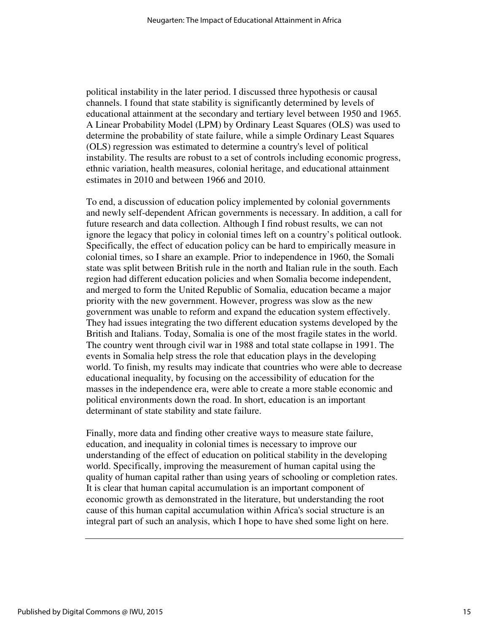political instability in the later period. I discussed three hypothesis or causal channels. I found that state stability is significantly determined by levels of educational attainment at the secondary and tertiary level between 1950 and 1965. A Linear Probability Model (LPM) by Ordinary Least Squares (OLS) was used to determine the probability of state failure, while a simple Ordinary Least Squares (OLS) regression was estimated to determine a country's level of political instability. The results are robust to a set of controls including economic progress, ethnic variation, health measures, colonial heritage, and educational attainment estimates in 2010 and between 1966 and 2010.

To end, a discussion of education policy implemented by colonial governments and newly self-dependent African governments is necessary. In addition, a call for future research and data collection. Although I find robust results, we can not ignore the legacy that policy in colonial times left on a country's political outlook. Specifically, the effect of education policy can be hard to empirically measure in colonial times, so I share an example. Prior to independence in 1960, the Somali state was split between British rule in the north and Italian rule in the south. Each region had different education policies and when Somalia become independent, and merged to form the United Republic of Somalia, education became a major priority with the new government. However, progress was slow as the new government was unable to reform and expand the education system effectively. They had issues integrating the two different education systems developed by the British and Italians. Today, Somalia is one of the most fragile states in the world. The country went through civil war in 1988 and total state collapse in 1991. The events in Somalia help stress the role that education plays in the developing world. To finish, my results may indicate that countries who were able to decrease educational inequality, by focusing on the accessibility of education for the masses in the independence era, were able to create a more stable economic and political environments down the road. In short, education is an important determinant of state stability and state failure.

Finally, more data and finding other creative ways to measure state failure, education, and inequality in colonial times is necessary to improve our understanding of the effect of education on political stability in the developing world. Specifically, improving the measurement of human capital using the quality of human capital rather than using years of schooling or completion rates. It is clear that human capital accumulation is an important component of economic growth as demonstrated in the literature, but understanding the root cause of this human capital accumulation within Africa's social structure is an integral part of such an analysis, which I hope to have shed some light on here.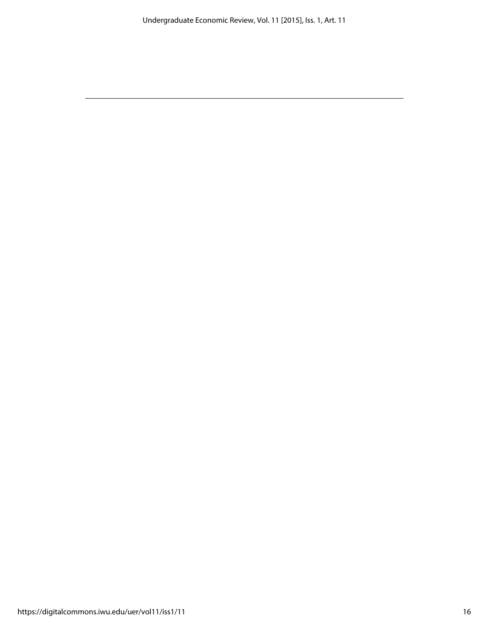Undergraduate Economic Review, Vol. 11 [2015], Iss. 1, Art. 11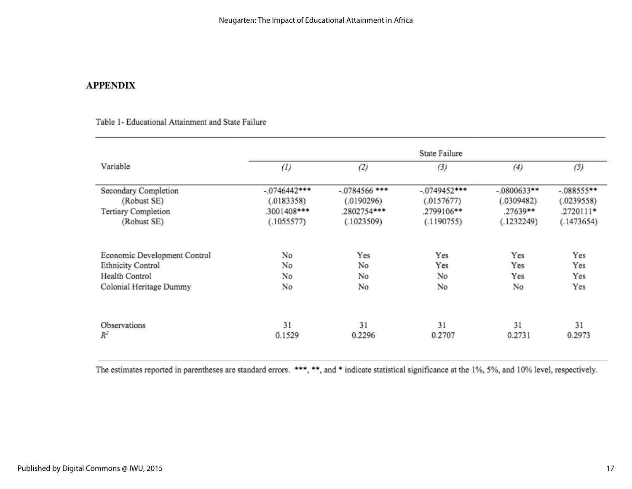## **APPENDIX**

|                              |                |                 | State Failure  |               |               |
|------------------------------|----------------|-----------------|----------------|---------------|---------------|
| Variable                     | (1)            | (2)             | (3)            | (4)           | (5)           |
| Secondary Completion         | $-.0746442***$ | $-.0784566$ *** | $-.0749452***$ | $-.0800633**$ | $-.088555***$ |
| (Robust SE)                  | (.0183358)     | (.0190296)      | (.0157677)     | (.0309482)    | (.0239558)    |
| Tertiary Completion          | .3001408***    | .2802754***     | .2799106**     | .27639**      | .2720111*     |
| (Robust SE)                  | (.1055577)     | (.1023509)      | (.1190755)     | (.1232249)    | (.1473654)    |
| Economic Development Control | No             | Yes             | Yes            | Yes           | Yes           |
| <b>Ethnicity Control</b>     | No             | No              | Yes            | Yes           | Yes           |
| Health Control               | No             | No              | No             | Yes           | Yes           |
| Colonial Heritage Dummy      | No             | No              | No             | No            | Yes           |
| Observations                 | 31             | 31              | 31             | 31            | 31            |
| $R^2$                        | 0.1529         | 0.2296          | 0.2707         | 0.2731        | 0.2973        |

#### Table 1- Educational Attainment and State Failure

The estimates reported in parentheses are standard errors. \*\*\*,\*\*, and \* indicate statistical significance at the 1%, 5%, and 10% level, respectively.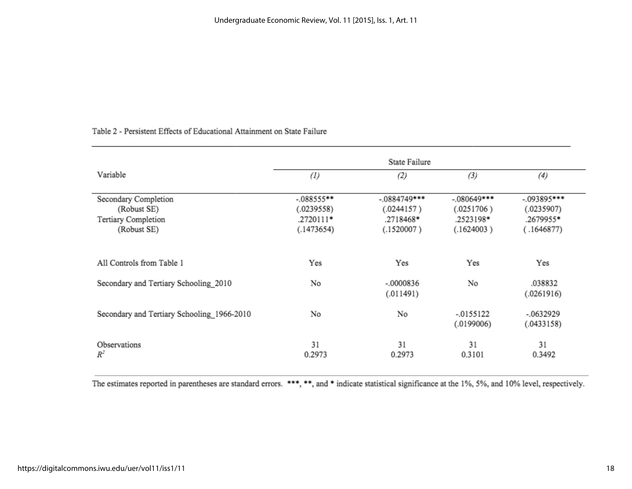#### Table 2 - Persistent Effects of Educational Attainment on State Failure

| Variable                                                                  | $\left( l\right)$                                      | (2)                                                     | (3)                                                    | (4)                                                    |
|---------------------------------------------------------------------------|--------------------------------------------------------|---------------------------------------------------------|--------------------------------------------------------|--------------------------------------------------------|
| Secondary Completion<br>(Robust SE)<br>Tertiary Completion<br>(Robust SE) | $-.088555***$<br>(.0239558)<br>.2720111*<br>(.1473654) | $-.0884749***$<br>(.0244157)<br>.2718468*<br>(.1520007) | $-.080649***$<br>(.0251706)<br>.2523198*<br>(.1624003) | $-.093895***$<br>(.0235907)<br>.2679955*<br>(.1646877) |
| All Controls from Table 1                                                 | Yes                                                    | Yes                                                     | Yes                                                    | Yes                                                    |
| Secondary and Tertiary Schooling 2010                                     | No                                                     | $-.0000836$<br>(.011491)                                | No                                                     | .038832<br>(.0261916)                                  |
| Secondary and Tertiary Schooling 1966-2010                                | No                                                     | No                                                      | $-0.0155122$<br>(.0199006)                             | $-.0632929$<br>(.0433158)                              |
| Observations<br>$R^2$                                                     | 31<br>0.2973                                           | 31<br>0.2973                                            | 31<br>0.3101                                           | 31<br>0.3492                                           |

The estimates reported in parentheses are standard errors. \*\*\*, \*\*, and \* indicate statistical significance at the 1%, 5%, and 10% level, respectively.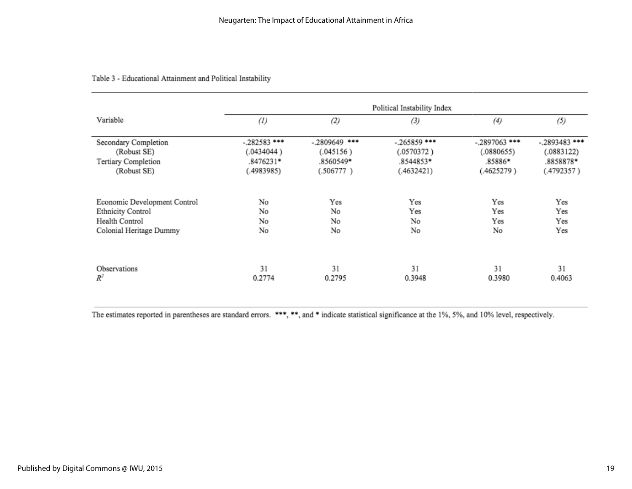|                              | Political Instability Index |                 |                |                |                 |  |
|------------------------------|-----------------------------|-----------------|----------------|----------------|-----------------|--|
| Variable                     | (1)                         | (2)             | (3)            | (4)            | (5)             |  |
| Secondary Completion         | $-.282583$ ***              | $-.2809649$ *** | $-.265859$ *** | $-2897063$ *** | $-.2893483$ *** |  |
| (Robust SE)                  | (.0434044)                  | (.045156)       | (.0570372.)    | (.0880655)     | (.0883122)      |  |
| Tertiary Completion          | .8476231*                   | .8560549*       | .8544853*      | $.85886*$      | .8858878*       |  |
| (Robust SE)                  | (.4983985)                  | (.506777)       | (.4632421)     | (.4625279)     | (.4792357)      |  |
| Economic Development Control | No                          | Yes             | Yes            | Yes            | Yes             |  |
| <b>Ethnicity Control</b>     | No                          | No              | Yes            | Yes            | Yes             |  |
| Health Control               | No                          | No              | No             | Yes            | Yes             |  |
| Colonial Heritage Dummy      | No                          | No              | No             | No             | Yes             |  |
| Observations                 | 31                          | 31              | 31             | 31             | 31              |  |
| $R^2$                        | 0.2774                      | 0.2795          | 0.3948         | 0.3980         | 0.4063          |  |

#### Table 3 - Educational Attainment and Political Instability

The estimates reported in parentheses are standard errors. \*\*\*,\*\*, and \* indicate statistical significance at the 1%, 5%, and 10% level, respectively.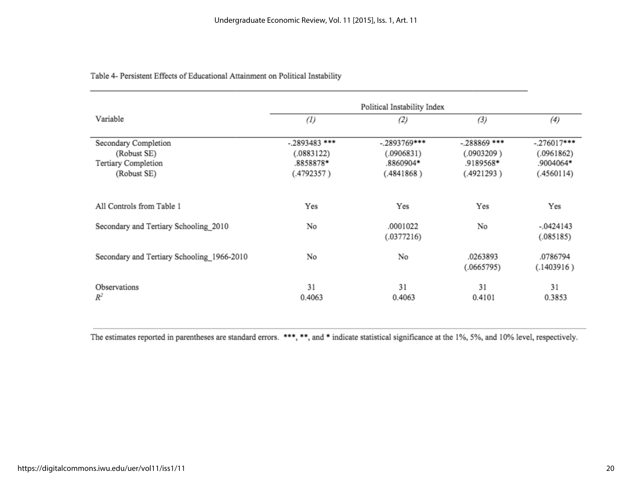| Variable                                                                  | (1)                                                      | (2)                                                     | (3)                                                     | (4)                                                    |
|---------------------------------------------------------------------------|----------------------------------------------------------|---------------------------------------------------------|---------------------------------------------------------|--------------------------------------------------------|
| Secondary Completion<br>(Robust SE)<br>Tertiary Completion<br>(Robust SE) | $-.2893483$ ***<br>(.0883122)<br>.8858878*<br>(.4792357) | $-.2893769***$<br>(.0906831)<br>.8860904*<br>(.4841868) | $-.288869$ ***<br>(.0903209)<br>.9189568*<br>(.4921293) | $-.276017***$<br>(.0961862)<br>.9004064*<br>(.4560114) |
| All Controls from Table 1                                                 | Yes                                                      | Yes                                                     | Yes                                                     | Yes                                                    |
| Secondary and Tertiary Schooling_2010                                     | No                                                       | .0001022<br>(.0377216)                                  | No                                                      | $-0424143$<br>(.085185)                                |
| Secondary and Tertiary Schooling 1966-2010                                | No                                                       | No                                                      | .0263893<br>(.0665795)                                  | .0786794<br>(.1403916)                                 |
| Observations<br>$R^2$                                                     | 31<br>0.4063                                             | 31<br>0.4063                                            | 31<br>0.4101                                            | 31<br>0.3853                                           |

### Table 4- Persistent Effects of Educational Attainment on Political Instability

The estimates reported in parentheses are standard errors. \*\*\*, \*\*, and \* indicate statistical significance at the 1%, 5%, and 10% level, respectively.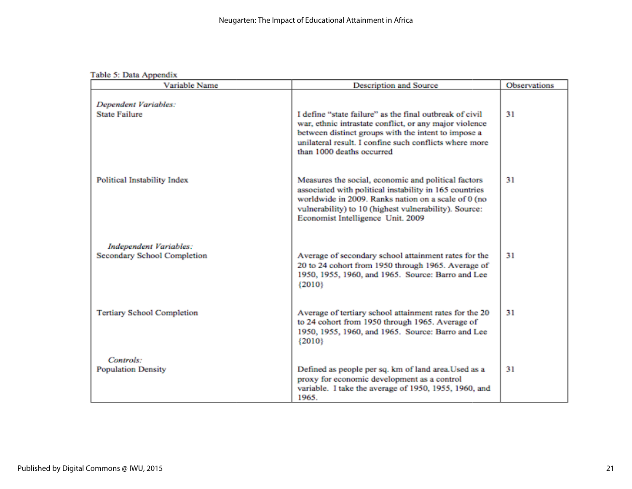Table 5: Data Appendix

| Variable Name                                                | <b>Description and Source</b>                                                                                                                                                                                                                                      | Observations |
|--------------------------------------------------------------|--------------------------------------------------------------------------------------------------------------------------------------------------------------------------------------------------------------------------------------------------------------------|--------------|
| Dependent Variables:<br><b>State Failure</b>                 | I define "state failure" as the final outbreak of civil<br>war, ethnic intrastate conflict, or any major violence<br>between distinct groups with the intent to impose a<br>unilateral result. I confine such conflicts where more<br>than 1000 deaths occurred    | 31           |
| <b>Political Instability Index</b>                           | Measures the social, economic and political factors<br>associated with political instability in 165 countries<br>worldwide in 2009. Ranks nation on a scale of 0 (no<br>vulnerability) to 10 (highest vulnerability). Source:<br>Economist Intelligence Unit. 2009 | 31           |
| Independent Variables:<br><b>Secondary School Completion</b> | Average of secondary school attainment rates for the<br>20 to 24 cohort from 1950 through 1965. Average of<br>1950, 1955, 1960, and 1965. Source: Barro and Lee<br>${2010}$                                                                                        | 31           |
| <b>Tertiary School Completion</b>                            | Average of tertiary school attainment rates for the 20<br>to 24 cohort from 1950 through 1965. Average of<br>1950, 1955, 1960, and 1965. Source: Barro and Lee<br>${2010}$                                                                                         | 31           |
| Controls:<br><b>Population Density</b>                       | Defined as people per sq. km of land area. Used as a<br>proxy for economic development as a control<br>variable. I take the average of 1950, 1955, 1960, and<br>1965.                                                                                              | 31           |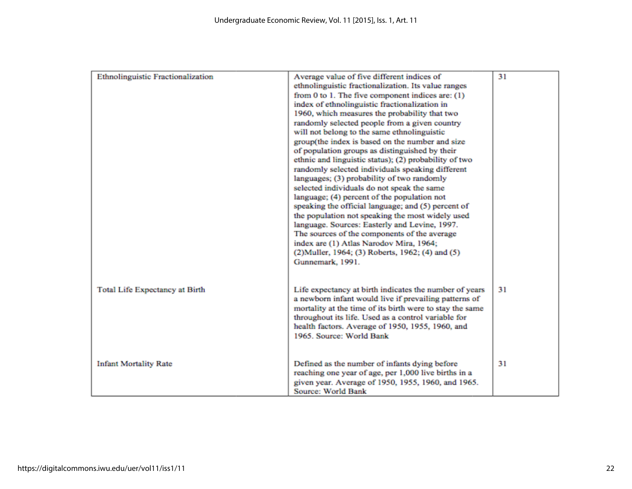| <b>Ethnolinguistic Fractionalization</b> | Average value of five different indices of<br>ethnolinguistic fractionalization. Its value ranges<br>from 0 to 1. The five component indices are: $(1)$<br>index of ethnolinguistic fractionalization in<br>1960, which measures the probability that two<br>randomly selected people from a given country<br>will not belong to the same ethnolinguistic<br>group(the index is based on the number and size<br>of population groups as distinguished by their<br>ethnic and linguistic status); (2) probability of two<br>randomly selected individuals speaking different<br>languages; (3) probability of two randomly<br>selected individuals do not speak the same<br>language; (4) percent of the population not<br>speaking the official language; and (5) percent of<br>the population not speaking the most widely used<br>language. Sources: Easterly and Levine, 1997.<br>The sources of the components of the average<br>index are (1) Atlas Narodov Mira, 1964;<br>(2) Muller, 1964; (3) Roberts, 1962; (4) and (5)<br>Gunnemark, 1991. | 31 |
|------------------------------------------|------------------------------------------------------------------------------------------------------------------------------------------------------------------------------------------------------------------------------------------------------------------------------------------------------------------------------------------------------------------------------------------------------------------------------------------------------------------------------------------------------------------------------------------------------------------------------------------------------------------------------------------------------------------------------------------------------------------------------------------------------------------------------------------------------------------------------------------------------------------------------------------------------------------------------------------------------------------------------------------------------------------------------------------------------|----|
| <b>Total Life Expectancy at Birth</b>    | Life expectancy at birth indicates the number of years<br>a newborn infant would live if prevailing patterns of<br>mortality at the time of its birth were to stay the same<br>throughout its life. Used as a control variable for<br>health factors. Average of 1950, 1955, 1960, and<br>1965. Source: World Bank                                                                                                                                                                                                                                                                                                                                                                                                                                                                                                                                                                                                                                                                                                                                   | 31 |
| <b>Infant Mortality Rate</b>             | Defined as the number of infants dying before<br>reaching one year of age, per 1,000 live births in a<br>given year. Average of 1950, 1955, 1960, and 1965.<br>Source: World Bank                                                                                                                                                                                                                                                                                                                                                                                                                                                                                                                                                                                                                                                                                                                                                                                                                                                                    | 31 |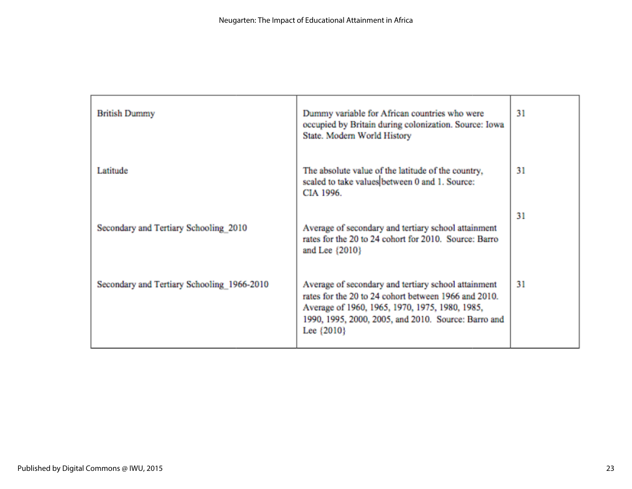| <b>British Dummy</b>                       | Dummy variable for African countries who were<br>occupied by Britain during colonization. Source: Iowa<br>State. Modern World History                                                                                                  | 31 |
|--------------------------------------------|----------------------------------------------------------------------------------------------------------------------------------------------------------------------------------------------------------------------------------------|----|
| Latitude                                   | The absolute value of the latitude of the country,<br>scaled to take values between 0 and 1. Source:<br>CIA 1996.                                                                                                                      | 31 |
| Secondary and Tertiary Schooling 2010      | Average of secondary and tertiary school attainment<br>rates for the 20 to 24 cohort for 2010. Source: Barro<br>and Lee $\{2010\}$                                                                                                     | 31 |
| Secondary and Tertiary Schooling 1966-2010 | Average of secondary and tertiary school attainment<br>rates for the 20 to 24 cohort between 1966 and 2010.<br>Average of 1960, 1965, 1970, 1975, 1980, 1985,<br>1990, 1995, 2000, 2005, and 2010. Source: Barro and<br>Lee $\{2010\}$ | 31 |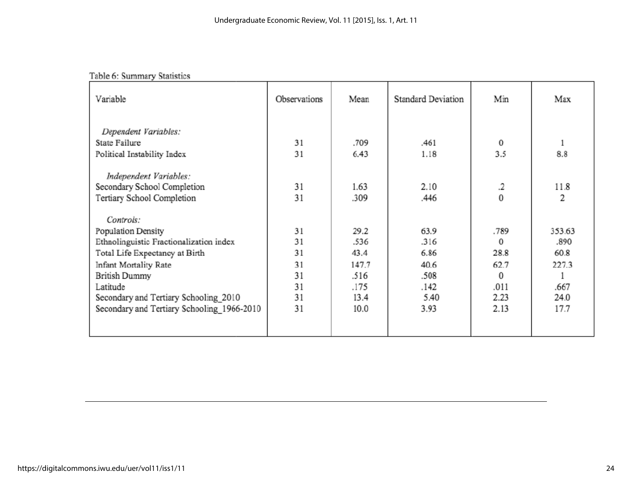## Table 6: Summary Statistics

| Variable                                                                                                                                                                                                    | Observations                           | Mean                                                  | Standard Deviation                                   | Min                                                          | Max                                             |
|-------------------------------------------------------------------------------------------------------------------------------------------------------------------------------------------------------------|----------------------------------------|-------------------------------------------------------|------------------------------------------------------|--------------------------------------------------------------|-------------------------------------------------|
| Dependent Variables:<br>State Failure<br>Political Instability Index                                                                                                                                        | 31<br>31                               | .709<br>6.43                                          | .461<br>1.18                                         | 0<br>3.5                                                     | 1<br>8.8                                        |
| Independent Variables:<br>Secondary School Completion<br>Tertiary School Completion                                                                                                                         | 31<br>31                               | 1.63<br>.309                                          | 2.10<br>.446                                         | .2<br>0                                                      | 11.8<br>2                                       |
| Controls:<br>Population Density<br>Ethnolinguistic Fractionalization index<br>Total Life Expectancy at Birth<br>Infant Mortality Rate<br>British Dummy<br>Latitude<br>Secondary and Tertiary Schooling 2010 | 31<br>31<br>31<br>31<br>31<br>31<br>31 | 29.2<br>.536<br>43.4<br>147.7<br>.516<br>.175<br>13.4 | 63.9<br>.316<br>6.86<br>40.6<br>.508<br>.142<br>5.40 | .789<br>$\Omega$<br>28.8<br>62.7<br>$\Omega$<br>.011<br>2.23 | 353.63<br>.890<br>60.8<br>227.3<br>.667<br>24.0 |
| Secondary and Tertiary Schooling 1966-2010                                                                                                                                                                  | 31                                     | 10.0                                                  | 3.93                                                 | 2.13                                                         | 17.7                                            |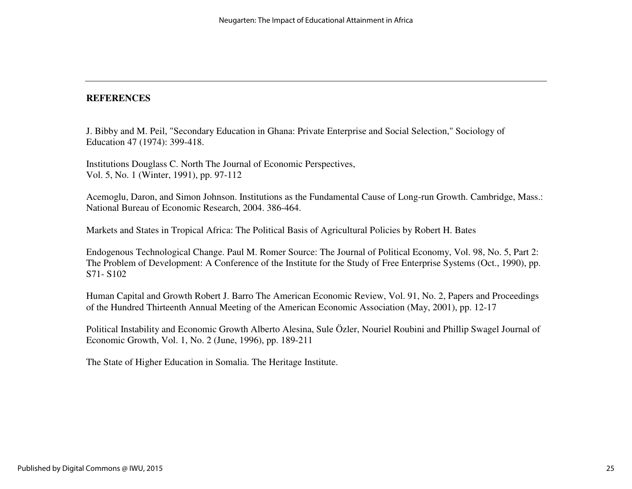#### **REFERENCES**

J. Bibby and M. Peil, "Secondary Education in Ghana: Private Enterprise and Social Selection," Sociology of Education 47 (1974): 399-418.

Institutions Douglass C. North The Journal of Economic Perspectives, Vol. 5, No. 1 (Winter, 1991), pp. 97-112

Acemoglu, Daron, and Simon Johnson. Institutions as the Fundamental Cause of Long-run Growth. Cambridge, Mass.: National Bureau of Economic Research, 2004. 386-464.

Markets and States in Tropical Africa: The Political Basis of Agricultural Policies by Robert H. Bates

Endogenous Technological Change. Paul M. Romer Source: The Journal of Political Economy, Vol. 98, No. 5, Part 2: The Problem of Development: A Conference of the Institute for the Study of Free Enterprise Systems (Oct., 1990), pp. S71- S102

Human Capital and Growth Robert J. Barro The American Economic Review, Vol. 91, No. 2, Papers and Proceedings of the Hundred Thirteenth Annual Meeting of the American Economic Association (May, 2001), pp. 12-17

Political Instability and Economic Growth Alberto Alesina, Sule Özler, Nouriel Roubini and Phillip Swagel Journal of Economic Growth, Vol. 1, No. 2 (June, 1996), pp. 189-211

The State of Higher Education in Somalia. The Heritage Institute.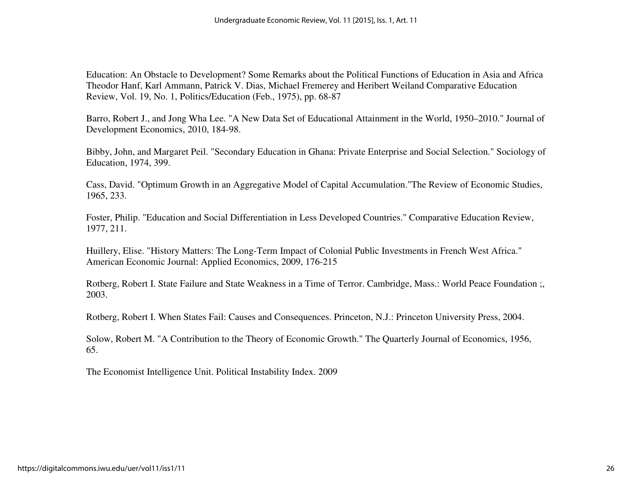Education: An Obstacle to Development? Some Remarks about the Political Functions of Education in Asia and Africa Theodor Hanf, Karl Ammann, Patrick V. Dias, Michael Fremerey and Heribert Weiland Comparative Education Review, Vol. 19, No. 1, Politics/Education (Feb., 1975), pp. 68-87

Barro, Robert J., and Jong Wha Lee. "A New Data Set of Educational Attainment in the World, 1950–2010." Journal of Development Economics, 2010, 184-98.

Bibby, John, and Margaret Peil. "Secondary Education in Ghana: Private Enterprise and Social Selection." Sociology of Education, 1974, 399.

Cass, David. "Optimum Growth in an Aggregative Model of Capital Accumulation."The Review of Economic Studies, 1965, 233.

Foster, Philip. "Education and Social Differentiation in Less Developed Countries." Comparative Education Review, 1977, 211.

Huillery, Elise. "History Matters: The Long-Term Impact of Colonial Public Investments in French West Africa." American Economic Journal: Applied Economics, 2009, 176-215

Rotberg, Robert I. State Failure and State Weakness in a Time of Terror. Cambridge, Mass.: World Peace Foundation ;, 2003.

Rotberg, Robert I. When States Fail: Causes and Consequences. Princeton, N.J.: Princeton University Press, 2004.

Solow, Robert M. "A Contribution to the Theory of Economic Growth." The Quarterly Journal of Economics, 1956, 65.

The Economist Intelligence Unit. Political Instability Index. 2009